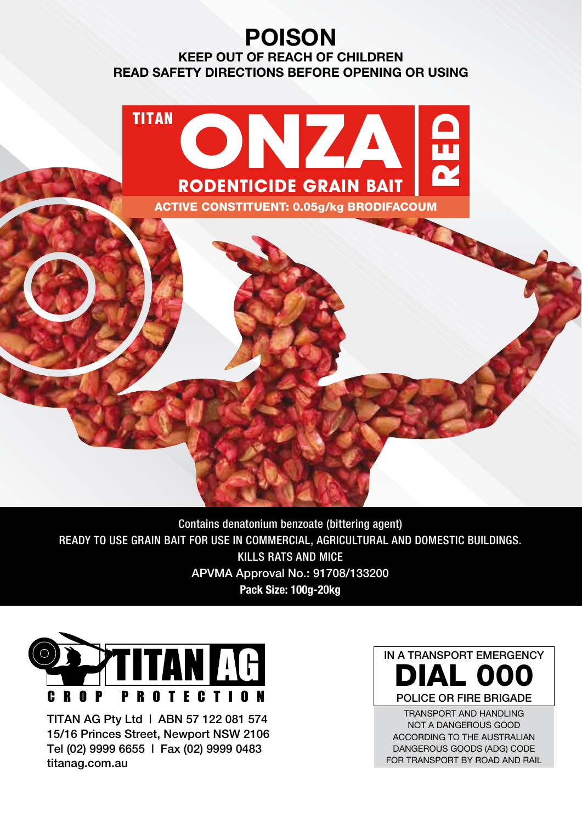# **POISON**

**KEEP OUT OF REACH OF CHILDREN READ SAFETY DIRECTIONS BEFORE OPENING OR USING**



Contains denatonium benzoate (bittering agent) READY TO USE GRAIN BAIT FOR USE IN COMMERCIAL, AGRICULTURAL AND DOMESTIC BUILDINGS. KILLS RATS AND MICE APVMA Approval No.: 91708/133200 **Pack Size: 100g-20kg**



TITAN AG Pty Ltd | ABN 57 122 081 574 15/16 Princes Street, Newport NSW 2106 Tel (02) 9999 6655 | Fax (02) 9999 0483 titanag.com.au



TRANSPORT AND HANDLING NOT A DANGEROUS GOOD ACCORDING TO THE AUSTRALIAN DANGEROUS GOODS (ADG) CODE FOR TRANSPORT BY ROAD AND RAIL